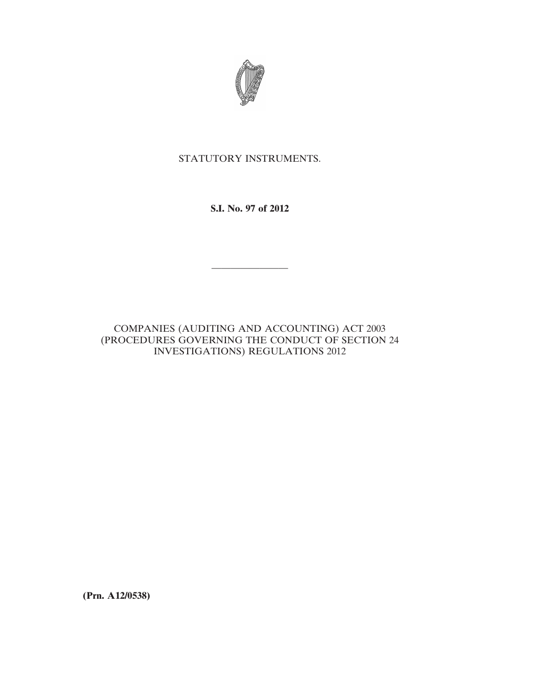

# STATUTORY INSTRUMENTS.

**S.I. No. 97 of 2012**

————————

# COMPANIES (AUDITING AND ACCOUNTING) ACT 2003 (PROCEDURES GOVERNING THE CONDUCT OF SECTION 24 INVESTIGATIONS) REGULATIONS 2012

**(Prn. A12/0538)**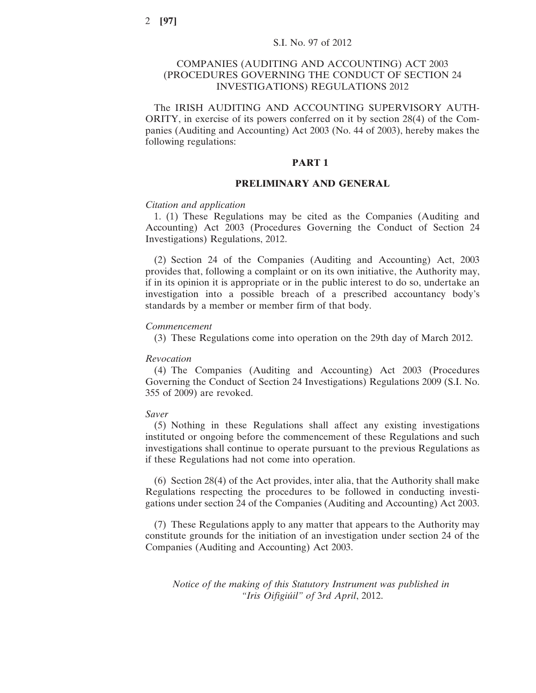## COMPANIES (AUDITING AND ACCOUNTING) ACT 2003 (PROCEDURES GOVERNING THE CONDUCT OF SECTION 24 INVESTIGATIONS) REGULATIONS 2012

The IRISH AUDITING AND ACCOUNTING SUPERVISORY AUTH-ORITY, in exercise of its powers conferred on it by section 28(4) of the Companies (Auditing and Accounting) Act 2003 (No. 44 of 2003), hereby makes the following regulations:

### **PART 1**

## **PRELIMINARY AND GENERAL**

### *Citation and application*

1. (1) These Regulations may be cited as the Companies (Auditing and Accounting) Act 2003 (Procedures Governing the Conduct of Section 24 Investigations) Regulations, 2012.

(2) Section 24 of the Companies (Auditing and Accounting) Act, 2003 provides that, following a complaint or on its own initiative, the Authority may, if in its opinion it is appropriate or in the public interest to do so, undertake an investigation into a possible breach of a prescribed accountancy body's standards by a member or member firm of that body.

### *Commencement*

(3) These Regulations come into operation on the 29th day of March 2012.

### *Revocation*

(4) The Companies (Auditing and Accounting) Act 2003 (Procedures Governing the Conduct of Section 24 Investigations) Regulations 2009 (S.I. No. 355 of 2009) are revoked.

## *Saver*

(5) Nothing in these Regulations shall affect any existing investigations instituted or ongoing before the commencement of these Regulations and such investigations shall continue to operate pursuant to the previous Regulations as if these Regulations had not come into operation.

(6) Section 28(4) of the Act provides, inter alia, that the Authority shall make Regulations respecting the procedures to be followed in conducting investigations under section 24 of the Companies (Auditing and Accounting) Act 2003.

(7) These Regulations apply to any matter that appears to the Authority may constitute grounds for the initiation of an investigation under section 24 of the Companies (Auditing and Accounting) Act 2003.

*Notice of the making of this Statutory Instrument was published in "Iris Oifigiúil" of* 3*rd April*, 2012.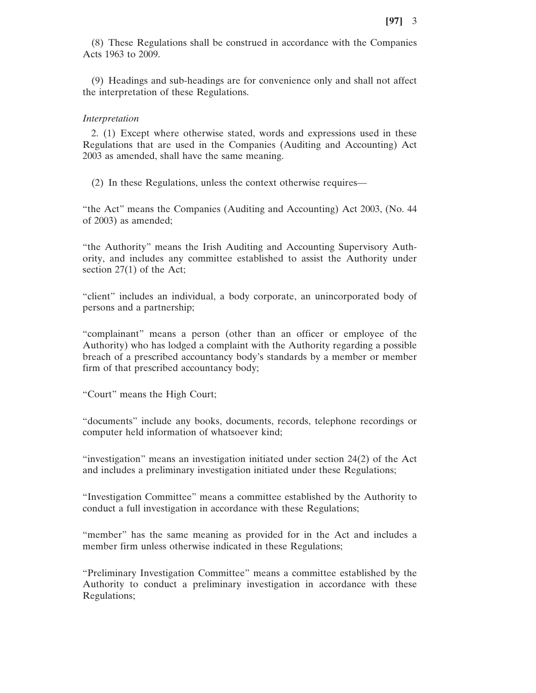(8) These Regulations shall be construed in accordance with the Companies Acts 1963 to 2009.

(9) Headings and sub-headings are for convenience only and shall not affect the interpretation of these Regulations.

#### *Interpretation*

2. (1) Except where otherwise stated, words and expressions used in these Regulations that are used in the Companies (Auditing and Accounting) Act 2003 as amended, shall have the same meaning.

(2) In these Regulations, unless the context otherwise requires—

"the Act" means the Companies (Auditing and Accounting) Act 2003, (No. 44 of 2003) as amended;

"the Authority" means the Irish Auditing and Accounting Supervisory Authority, and includes any committee established to assist the Authority under section 27(1) of the Act;

"client" includes an individual, a body corporate, an unincorporated body of persons and a partnership;

"complainant" means a person (other than an officer or employee of the Authority) who has lodged a complaint with the Authority regarding a possible breach of a prescribed accountancy body's standards by a member or member firm of that prescribed accountancy body;

"Court" means the High Court;

"documents" include any books, documents, records, telephone recordings or computer held information of whatsoever kind;

"investigation" means an investigation initiated under section 24(2) of the Act and includes a preliminary investigation initiated under these Regulations;

"Investigation Committee" means a committee established by the Authority to conduct a full investigation in accordance with these Regulations;

"member" has the same meaning as provided for in the Act and includes a member firm unless otherwise indicated in these Regulations;

"Preliminary Investigation Committee" means a committee established by the Authority to conduct a preliminary investigation in accordance with these Regulations;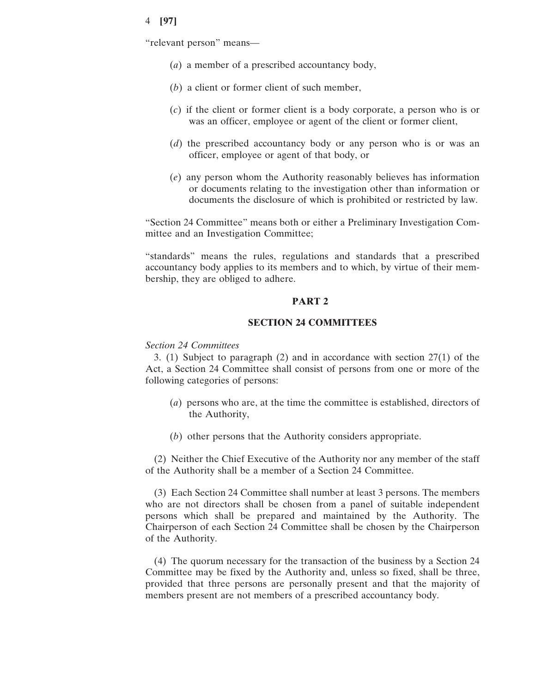"relevant person" means—

- (*a*) a member of a prescribed accountancy body,
- (*b*) a client or former client of such member,
- (*c*) if the client or former client is a body corporate, a person who is or was an officer, employee or agent of the client or former client,
- (*d*) the prescribed accountancy body or any person who is or was an officer, employee or agent of that body, or
- (*e*) any person whom the Authority reasonably believes has information or documents relating to the investigation other than information or documents the disclosure of which is prohibited or restricted by law.

"Section 24 Committee" means both or either a Preliminary Investigation Committee and an Investigation Committee;

"standards" means the rules, regulations and standards that a prescribed accountancy body applies to its members and to which, by virtue of their membership, they are obliged to adhere.

## **PART 2**

## **SECTION 24 COMMITTEES**

## *Section 24 Committees*

3. (1) Subject to paragraph (2) and in accordance with section 27(1) of the Act, a Section 24 Committee shall consist of persons from one or more of the following categories of persons:

- (*a*) persons who are, at the time the committee is established, directors of the Authority,
- (*b*) other persons that the Authority considers appropriate.

(2) Neither the Chief Executive of the Authority nor any member of the staff of the Authority shall be a member of a Section 24 Committee.

(3) Each Section 24 Committee shall number at least 3 persons. The members who are not directors shall be chosen from a panel of suitable independent persons which shall be prepared and maintained by the Authority. The Chairperson of each Section 24 Committee shall be chosen by the Chairperson of the Authority.

(4) The quorum necessary for the transaction of the business by a Section 24 Committee may be fixed by the Authority and, unless so fixed, shall be three, provided that three persons are personally present and that the majority of members present are not members of a prescribed accountancy body.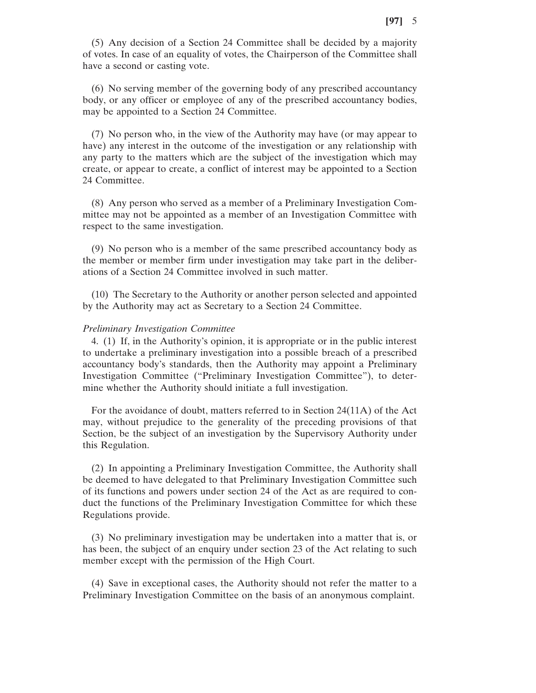(5) Any decision of a Section 24 Committee shall be decided by a majority of votes. In case of an equality of votes, the Chairperson of the Committee shall have a second or casting vote.

(6) No serving member of the governing body of any prescribed accountancy body, or any officer or employee of any of the prescribed accountancy bodies, may be appointed to a Section 24 Committee.

(7) No person who, in the view of the Authority may have (or may appear to have) any interest in the outcome of the investigation or any relationship with any party to the matters which are the subject of the investigation which may create, or appear to create, a conflict of interest may be appointed to a Section 24 Committee.

(8) Any person who served as a member of a Preliminary Investigation Committee may not be appointed as a member of an Investigation Committee with respect to the same investigation.

(9) No person who is a member of the same prescribed accountancy body as the member or member firm under investigation may take part in the deliberations of a Section 24 Committee involved in such matter.

(10) The Secretary to the Authority or another person selected and appointed by the Authority may act as Secretary to a Section 24 Committee.

### *Preliminary Investigation Committee*

4. (1) If, in the Authority's opinion, it is appropriate or in the public interest to undertake a preliminary investigation into a possible breach of a prescribed accountancy body's standards, then the Authority may appoint a Preliminary Investigation Committee ("Preliminary Investigation Committee"), to determine whether the Authority should initiate a full investigation.

For the avoidance of doubt, matters referred to in Section 24(11A) of the Act may, without prejudice to the generality of the preceding provisions of that Section, be the subject of an investigation by the Supervisory Authority under this Regulation.

(2) In appointing a Preliminary Investigation Committee, the Authority shall be deemed to have delegated to that Preliminary Investigation Committee such of its functions and powers under section 24 of the Act as are required to conduct the functions of the Preliminary Investigation Committee for which these Regulations provide.

(3) No preliminary investigation may be undertaken into a matter that is, or has been, the subject of an enquiry under section 23 of the Act relating to such member except with the permission of the High Court.

(4) Save in exceptional cases, the Authority should not refer the matter to a Preliminary Investigation Committee on the basis of an anonymous complaint.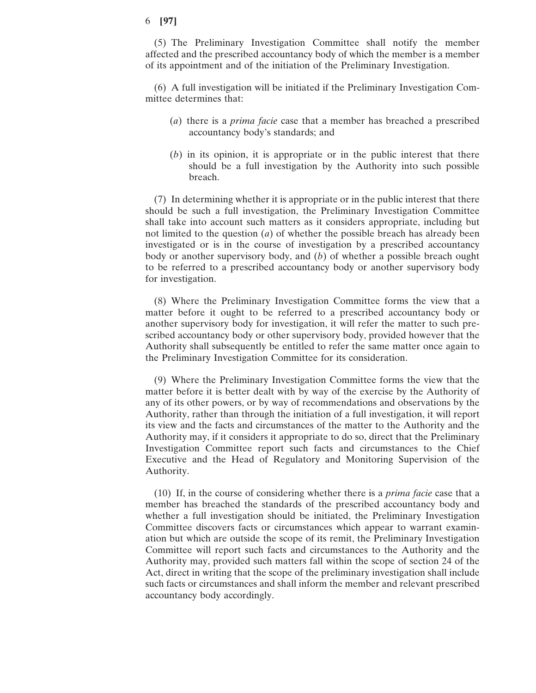(5) The Preliminary Investigation Committee shall notify the member affected and the prescribed accountancy body of which the member is a member of its appointment and of the initiation of the Preliminary Investigation.

(6) A full investigation will be initiated if the Preliminary Investigation Committee determines that:

- (*a*) there is a *prima facie* case that a member has breached a prescribed accountancy body's standards; and
- (*b*) in its opinion, it is appropriate or in the public interest that there should be a full investigation by the Authority into such possible breach.

(7) In determining whether it is appropriate or in the public interest that there should be such a full investigation, the Preliminary Investigation Committee shall take into account such matters as it considers appropriate, including but not limited to the question (*a*) of whether the possible breach has already been investigated or is in the course of investigation by a prescribed accountancy body or another supervisory body, and (*b*) of whether a possible breach ought to be referred to a prescribed accountancy body or another supervisory body for investigation.

(8) Where the Preliminary Investigation Committee forms the view that a matter before it ought to be referred to a prescribed accountancy body or another supervisory body for investigation, it will refer the matter to such prescribed accountancy body or other supervisory body, provided however that the Authority shall subsequently be entitled to refer the same matter once again to the Preliminary Investigation Committee for its consideration.

(9) Where the Preliminary Investigation Committee forms the view that the matter before it is better dealt with by way of the exercise by the Authority of any of its other powers, or by way of recommendations and observations by the Authority, rather than through the initiation of a full investigation, it will report its view and the facts and circumstances of the matter to the Authority and the Authority may, if it considers it appropriate to do so, direct that the Preliminary Investigation Committee report such facts and circumstances to the Chief Executive and the Head of Regulatory and Monitoring Supervision of the Authority.

(10) If, in the course of considering whether there is a *prima facie* case that a member has breached the standards of the prescribed accountancy body and whether a full investigation should be initiated, the Preliminary Investigation Committee discovers facts or circumstances which appear to warrant examination but which are outside the scope of its remit, the Preliminary Investigation Committee will report such facts and circumstances to the Authority and the Authority may, provided such matters fall within the scope of section 24 of the Act, direct in writing that the scope of the preliminary investigation shall include such facts or circumstances and shall inform the member and relevant prescribed accountancy body accordingly.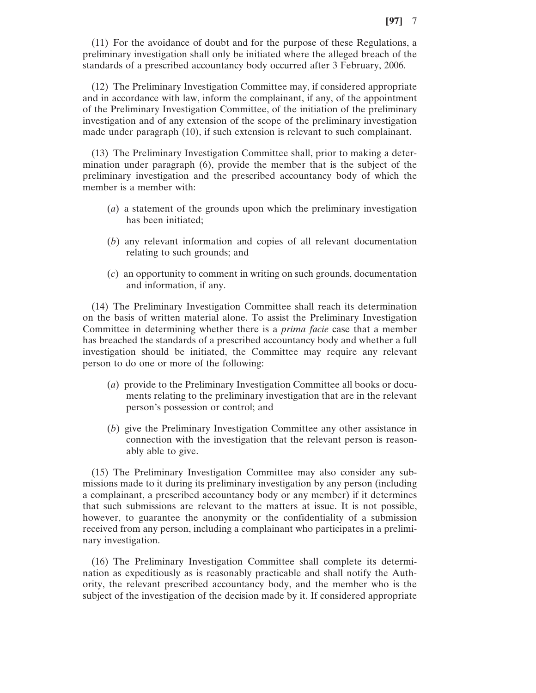(11) For the avoidance of doubt and for the purpose of these Regulations, a preliminary investigation shall only be initiated where the alleged breach of the standards of a prescribed accountancy body occurred after 3 February, 2006.

(12) The Preliminary Investigation Committee may, if considered appropriate and in accordance with law, inform the complainant, if any, of the appointment of the Preliminary Investigation Committee, of the initiation of the preliminary investigation and of any extension of the scope of the preliminary investigation made under paragraph (10), if such extension is relevant to such complainant.

(13) The Preliminary Investigation Committee shall, prior to making a determination under paragraph (6), provide the member that is the subject of the preliminary investigation and the prescribed accountancy body of which the member is a member with:

- (*a*) a statement of the grounds upon which the preliminary investigation has been initiated;
- (*b*) any relevant information and copies of all relevant documentation relating to such grounds; and
- (*c*) an opportunity to comment in writing on such grounds, documentation and information, if any.

(14) The Preliminary Investigation Committee shall reach its determination on the basis of written material alone. To assist the Preliminary Investigation Committee in determining whether there is a *prima facie* case that a member has breached the standards of a prescribed accountancy body and whether a full investigation should be initiated, the Committee may require any relevant person to do one or more of the following:

- (*a*) provide to the Preliminary Investigation Committee all books or documents relating to the preliminary investigation that are in the relevant person's possession or control; and
- (*b*) give the Preliminary Investigation Committee any other assistance in connection with the investigation that the relevant person is reasonably able to give.

(15) The Preliminary Investigation Committee may also consider any submissions made to it during its preliminary investigation by any person (including a complainant, a prescribed accountancy body or any member) if it determines that such submissions are relevant to the matters at issue. It is not possible, however, to guarantee the anonymity or the confidentiality of a submission received from any person, including a complainant who participates in a preliminary investigation.

(16) The Preliminary Investigation Committee shall complete its determination as expeditiously as is reasonably practicable and shall notify the Authority, the relevant prescribed accountancy body, and the member who is the subject of the investigation of the decision made by it. If considered appropriate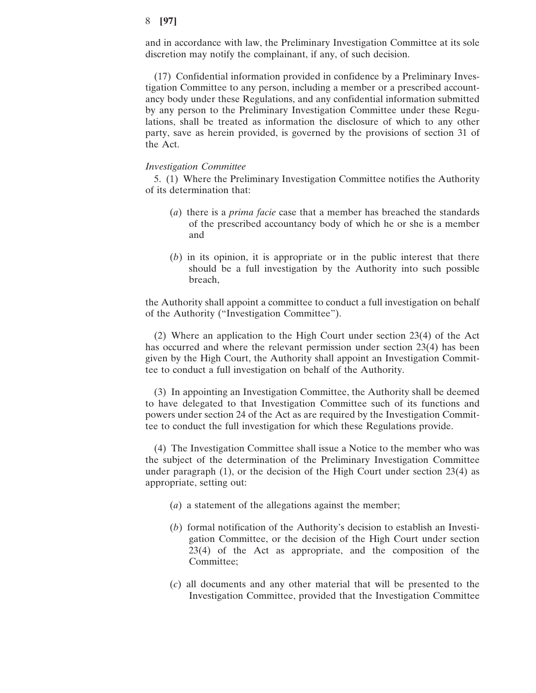and in accordance with law, the Preliminary Investigation Committee at its sole discretion may notify the complainant, if any, of such decision.

(17) Confidential information provided in confidence by a Preliminary Investigation Committee to any person, including a member or a prescribed accountancy body under these Regulations, and any confidential information submitted by any person to the Preliminary Investigation Committee under these Regulations, shall be treated as information the disclosure of which to any other party, save as herein provided, is governed by the provisions of section 31 of the Act.

### *Investigation Committee*

5. (1) Where the Preliminary Investigation Committee notifies the Authority of its determination that:

- (*a*) there is a *prima facie* case that a member has breached the standards of the prescribed accountancy body of which he or she is a member and
- (*b*) in its opinion, it is appropriate or in the public interest that there should be a full investigation by the Authority into such possible breach,

the Authority shall appoint a committee to conduct a full investigation on behalf of the Authority ("Investigation Committee").

(2) Where an application to the High Court under section 23(4) of the Act has occurred and where the relevant permission under section 23(4) has been given by the High Court, the Authority shall appoint an Investigation Committee to conduct a full investigation on behalf of the Authority.

(3) In appointing an Investigation Committee, the Authority shall be deemed to have delegated to that Investigation Committee such of its functions and powers under section 24 of the Act as are required by the Investigation Committee to conduct the full investigation for which these Regulations provide.

(4) The Investigation Committee shall issue a Notice to the member who was the subject of the determination of the Preliminary Investigation Committee under paragraph (1), or the decision of the High Court under section 23(4) as appropriate, setting out:

- (*a*) a statement of the allegations against the member;
- (*b*) formal notification of the Authority's decision to establish an Investigation Committee, or the decision of the High Court under section 23(4) of the Act as appropriate, and the composition of the Committee;
- (*c*) all documents and any other material that will be presented to the Investigation Committee, provided that the Investigation Committee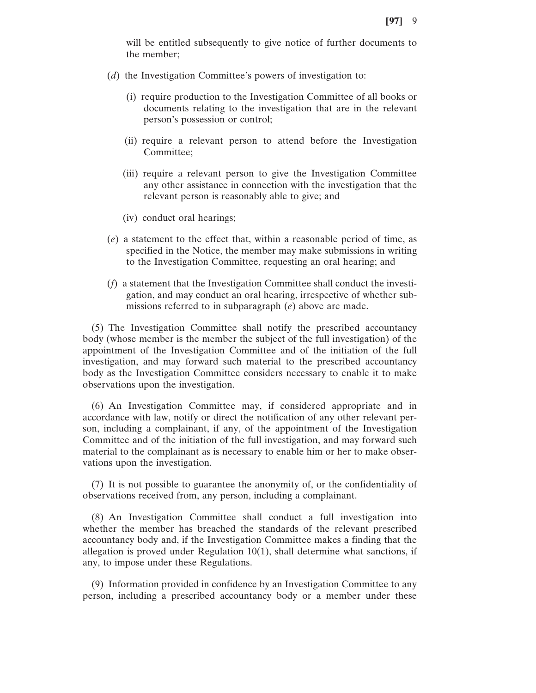will be entitled subsequently to give notice of further documents to the member;

- (*d*) the Investigation Committee's powers of investigation to:
	- (i) require production to the Investigation Committee of all books or documents relating to the investigation that are in the relevant person's possession or control;
	- (ii) require a relevant person to attend before the Investigation Committee;
	- (iii) require a relevant person to give the Investigation Committee any other assistance in connection with the investigation that the relevant person is reasonably able to give; and
	- (iv) conduct oral hearings;
- (*e*) a statement to the effect that, within a reasonable period of time, as specified in the Notice, the member may make submissions in writing to the Investigation Committee, requesting an oral hearing; and
- (*f*) a statement that the Investigation Committee shall conduct the investigation, and may conduct an oral hearing, irrespective of whether submissions referred to in subparagraph (*e*) above are made.

(5) The Investigation Committee shall notify the prescribed accountancy body (whose member is the member the subject of the full investigation) of the appointment of the Investigation Committee and of the initiation of the full investigation, and may forward such material to the prescribed accountancy body as the Investigation Committee considers necessary to enable it to make observations upon the investigation.

(6) An Investigation Committee may, if considered appropriate and in accordance with law, notify or direct the notification of any other relevant person, including a complainant, if any, of the appointment of the Investigation Committee and of the initiation of the full investigation, and may forward such material to the complainant as is necessary to enable him or her to make observations upon the investigation.

(7) It is not possible to guarantee the anonymity of, or the confidentiality of observations received from, any person, including a complainant.

(8) An Investigation Committee shall conduct a full investigation into whether the member has breached the standards of the relevant prescribed accountancy body and, if the Investigation Committee makes a finding that the allegation is proved under Regulation 10(1), shall determine what sanctions, if any, to impose under these Regulations.

(9) Information provided in confidence by an Investigation Committee to any person, including a prescribed accountancy body or a member under these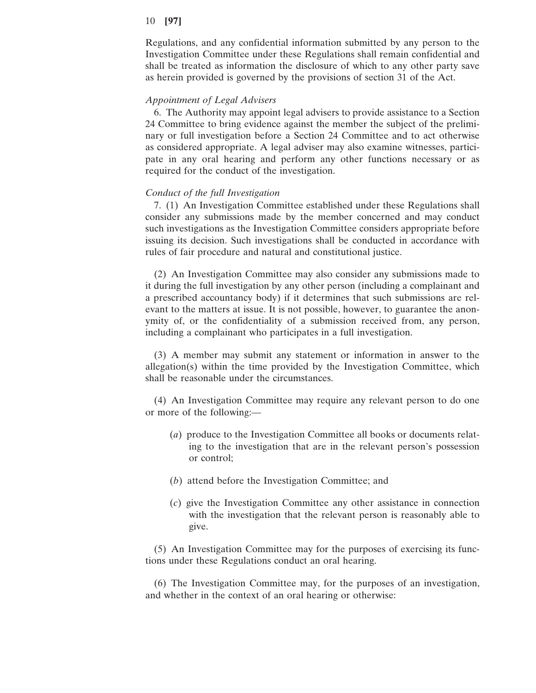Regulations, and any confidential information submitted by any person to the Investigation Committee under these Regulations shall remain confidential and shall be treated as information the disclosure of which to any other party save as herein provided is governed by the provisions of section 31 of the Act.

## *Appointment of Legal Advisers*

6. The Authority may appoint legal advisers to provide assistance to a Section 24 Committee to bring evidence against the member the subject of the preliminary or full investigation before a Section 24 Committee and to act otherwise as considered appropriate. A legal adviser may also examine witnesses, participate in any oral hearing and perform any other functions necessary or as required for the conduct of the investigation.

### *Conduct of the full Investigation*

7. (1) An Investigation Committee established under these Regulations shall consider any submissions made by the member concerned and may conduct such investigations as the Investigation Committee considers appropriate before issuing its decision. Such investigations shall be conducted in accordance with rules of fair procedure and natural and constitutional justice.

(2) An Investigation Committee may also consider any submissions made to it during the full investigation by any other person (including a complainant and a prescribed accountancy body) if it determines that such submissions are relevant to the matters at issue. It is not possible, however, to guarantee the anonymity of, or the confidentiality of a submission received from, any person, including a complainant who participates in a full investigation.

(3) A member may submit any statement or information in answer to the allegation(s) within the time provided by the Investigation Committee, which shall be reasonable under the circumstances.

(4) An Investigation Committee may require any relevant person to do one or more of the following:—

- (*a*) produce to the Investigation Committee all books or documents relating to the investigation that are in the relevant person's possession or control;
- (*b*) attend before the Investigation Committee; and
- (*c*) give the Investigation Committee any other assistance in connection with the investigation that the relevant person is reasonably able to give.

(5) An Investigation Committee may for the purposes of exercising its functions under these Regulations conduct an oral hearing.

(6) The Investigation Committee may, for the purposes of an investigation, and whether in the context of an oral hearing or otherwise: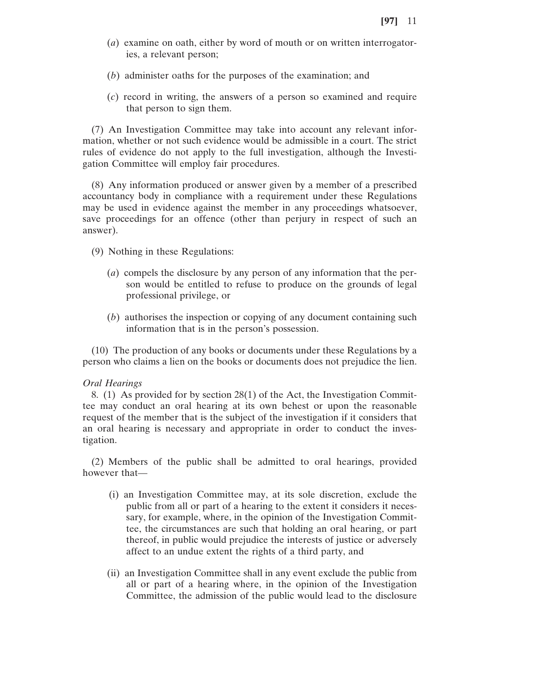- (*a*) examine on oath, either by word of mouth or on written interrogatories, a relevant person;
- (*b*) administer oaths for the purposes of the examination; and
- (*c*) record in writing, the answers of a person so examined and require that person to sign them.

(7) An Investigation Committee may take into account any relevant information, whether or not such evidence would be admissible in a court. The strict rules of evidence do not apply to the full investigation, although the Investigation Committee will employ fair procedures.

(8) Any information produced or answer given by a member of a prescribed accountancy body in compliance with a requirement under these Regulations may be used in evidence against the member in any proceedings whatsoever, save proceedings for an offence (other than perjury in respect of such an answer).

- (9) Nothing in these Regulations:
	- (*a*) compels the disclosure by any person of any information that the person would be entitled to refuse to produce on the grounds of legal professional privilege, or
	- (*b*) authorises the inspection or copying of any document containing such information that is in the person's possession.

(10) The production of any books or documents under these Regulations by a person who claims a lien on the books or documents does not prejudice the lien.

### *Oral Hearings*

8. (1) As provided for by section 28(1) of the Act, the Investigation Committee may conduct an oral hearing at its own behest or upon the reasonable request of the member that is the subject of the investigation if it considers that an oral hearing is necessary and appropriate in order to conduct the investigation.

(2) Members of the public shall be admitted to oral hearings, provided however that—

- (i) an Investigation Committee may, at its sole discretion, exclude the public from all or part of a hearing to the extent it considers it necessary, for example, where, in the opinion of the Investigation Committee, the circumstances are such that holding an oral hearing, or part thereof, in public would prejudice the interests of justice or adversely affect to an undue extent the rights of a third party, and
- (ii) an Investigation Committee shall in any event exclude the public from all or part of a hearing where, in the opinion of the Investigation Committee, the admission of the public would lead to the disclosure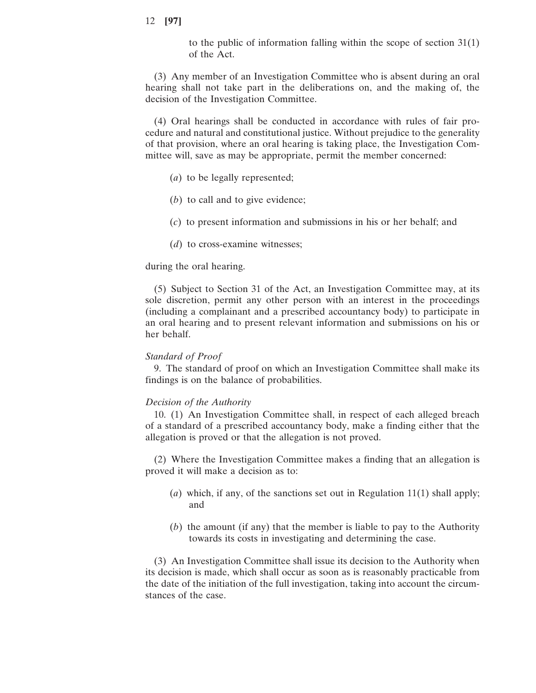to the public of information falling within the scope of section 31(1) of the Act.

(3) Any member of an Investigation Committee who is absent during an oral hearing shall not take part in the deliberations on, and the making of, the decision of the Investigation Committee.

(4) Oral hearings shall be conducted in accordance with rules of fair procedure and natural and constitutional justice. Without prejudice to the generality of that provision, where an oral hearing is taking place, the Investigation Committee will, save as may be appropriate, permit the member concerned:

- (*a*) to be legally represented;
- (*b*) to call and to give evidence;
- (*c*) to present information and submissions in his or her behalf; and
- (*d*) to cross-examine witnesses;

## during the oral hearing.

(5) Subject to Section 31 of the Act, an Investigation Committee may, at its sole discretion, permit any other person with an interest in the proceedings (including a complainant and a prescribed accountancy body) to participate in an oral hearing and to present relevant information and submissions on his or her behalf.

## *Standard of Proof*

9. The standard of proof on which an Investigation Committee shall make its findings is on the balance of probabilities.

## *Decision of the Authority*

10. (1) An Investigation Committee shall, in respect of each alleged breach of a standard of a prescribed accountancy body, make a finding either that the allegation is proved or that the allegation is not proved.

(2) Where the Investigation Committee makes a finding that an allegation is proved it will make a decision as to:

- (*a*) which, if any, of the sanctions set out in Regulation 11(1) shall apply; and
- (*b*) the amount (if any) that the member is liable to pay to the Authority towards its costs in investigating and determining the case.

(3) An Investigation Committee shall issue its decision to the Authority when its decision is made, which shall occur as soon as is reasonably practicable from the date of the initiation of the full investigation, taking into account the circumstances of the case.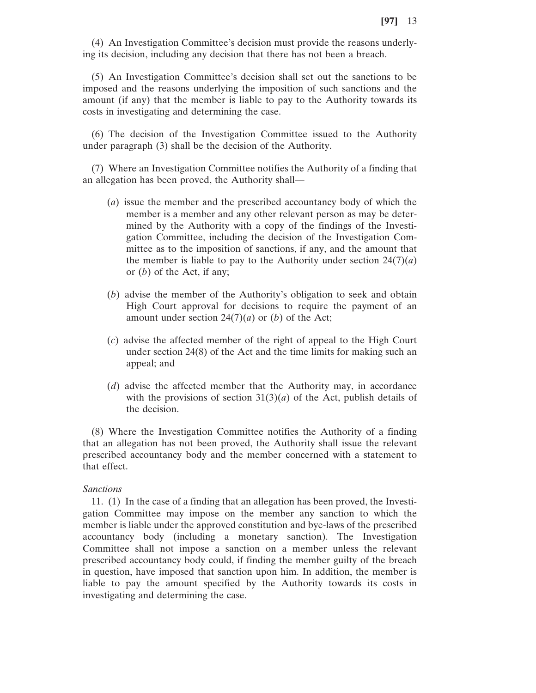(4) An Investigation Committee's decision must provide the reasons underlying its decision, including any decision that there has not been a breach.

(5) An Investigation Committee's decision shall set out the sanctions to be imposed and the reasons underlying the imposition of such sanctions and the amount (if any) that the member is liable to pay to the Authority towards its costs in investigating and determining the case.

(6) The decision of the Investigation Committee issued to the Authority under paragraph (3) shall be the decision of the Authority.

(7) Where an Investigation Committee notifies the Authority of a finding that an allegation has been proved, the Authority shall—

- (*a*) issue the member and the prescribed accountancy body of which the member is a member and any other relevant person as may be determined by the Authority with a copy of the findings of the Investigation Committee, including the decision of the Investigation Committee as to the imposition of sanctions, if any, and the amount that the member is liable to pay to the Authority under section  $24(7)(a)$ or (*b*) of the Act, if any;
- (*b*) advise the member of the Authority's obligation to seek and obtain High Court approval for decisions to require the payment of an amount under section  $24(7)(a)$  or (*b*) of the Act;
- (*c*) advise the affected member of the right of appeal to the High Court under section 24(8) of the Act and the time limits for making such an appeal; and
- (*d*) advise the affected member that the Authority may, in accordance with the provisions of section  $31(3)(a)$  of the Act, publish details of the decision.

(8) Where the Investigation Committee notifies the Authority of a finding that an allegation has not been proved, the Authority shall issue the relevant prescribed accountancy body and the member concerned with a statement to that effect.

### *Sanctions*

11. (1) In the case of a finding that an allegation has been proved, the Investigation Committee may impose on the member any sanction to which the member is liable under the approved constitution and bye-laws of the prescribed accountancy body (including a monetary sanction). The Investigation Committee shall not impose a sanction on a member unless the relevant prescribed accountancy body could, if finding the member guilty of the breach in question, have imposed that sanction upon him. In addition, the member is liable to pay the amount specified by the Authority towards its costs in investigating and determining the case.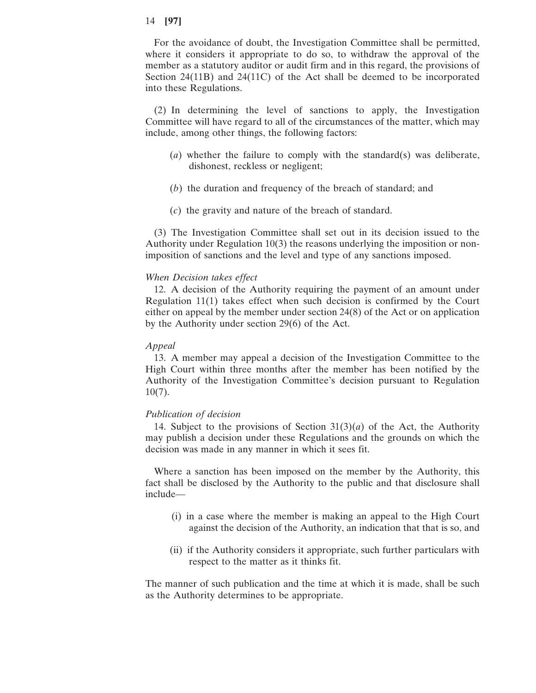For the avoidance of doubt, the Investigation Committee shall be permitted, where it considers it appropriate to do so, to withdraw the approval of the member as a statutory auditor or audit firm and in this regard, the provisions of Section 24(11B) and 24(11C) of the Act shall be deemed to be incorporated into these Regulations.

(2) In determining the level of sanctions to apply, the Investigation Committee will have regard to all of the circumstances of the matter, which may include, among other things, the following factors:

- (*a*) whether the failure to comply with the standard(s) was deliberate, dishonest, reckless or negligent;
- (*b*) the duration and frequency of the breach of standard; and
- (*c*) the gravity and nature of the breach of standard.

(3) The Investigation Committee shall set out in its decision issued to the Authority under Regulation 10(3) the reasons underlying the imposition or nonimposition of sanctions and the level and type of any sanctions imposed.

## *When Decision takes effect*

12. A decision of the Authority requiring the payment of an amount under Regulation 11(1) takes effect when such decision is confirmed by the Court either on appeal by the member under section 24(8) of the Act or on application by the Authority under section 29(6) of the Act.

## *Appeal*

13. A member may appeal a decision of the Investigation Committee to the High Court within three months after the member has been notified by the Authority of the Investigation Committee's decision pursuant to Regulation 10(7).

## *Publication of decision*

14. Subject to the provisions of Section  $31(3)(a)$  of the Act, the Authority may publish a decision under these Regulations and the grounds on which the decision was made in any manner in which it sees fit.

Where a sanction has been imposed on the member by the Authority, this fact shall be disclosed by the Authority to the public and that disclosure shall include—

- (i) in a case where the member is making an appeal to the High Court against the decision of the Authority, an indication that that is so, and
- (ii) if the Authority considers it appropriate, such further particulars with respect to the matter as it thinks fit.

The manner of such publication and the time at which it is made, shall be such as the Authority determines to be appropriate.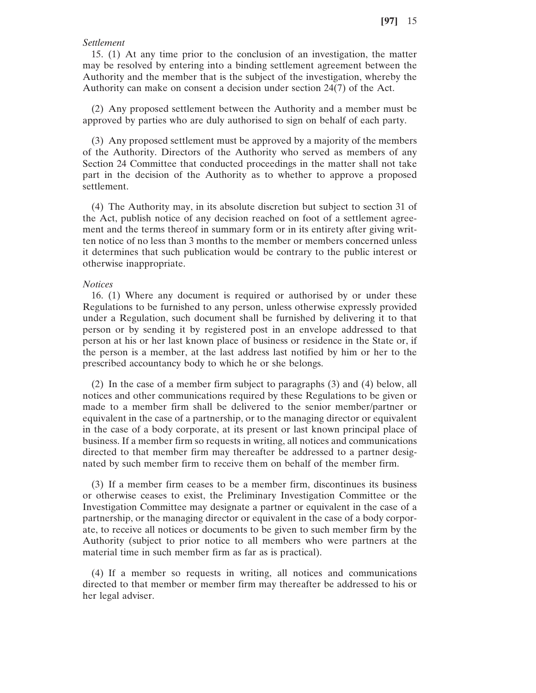### *Settlement*

15. (1) At any time prior to the conclusion of an investigation, the matter may be resolved by entering into a binding settlement agreement between the Authority and the member that is the subject of the investigation, whereby the Authority can make on consent a decision under section 24(7) of the Act.

(2) Any proposed settlement between the Authority and a member must be approved by parties who are duly authorised to sign on behalf of each party.

(3) Any proposed settlement must be approved by a majority of the members of the Authority. Directors of the Authority who served as members of any Section 24 Committee that conducted proceedings in the matter shall not take part in the decision of the Authority as to whether to approve a proposed settlement.

(4) The Authority may, in its absolute discretion but subject to section 31 of the Act, publish notice of any decision reached on foot of a settlement agreement and the terms thereof in summary form or in its entirety after giving written notice of no less than 3 months to the member or members concerned unless it determines that such publication would be contrary to the public interest or otherwise inappropriate.

### *Notices*

16. (1) Where any document is required or authorised by or under these Regulations to be furnished to any person, unless otherwise expressly provided under a Regulation, such document shall be furnished by delivering it to that person or by sending it by registered post in an envelope addressed to that person at his or her last known place of business or residence in the State or, if the person is a member, at the last address last notified by him or her to the prescribed accountancy body to which he or she belongs.

(2) In the case of a member firm subject to paragraphs (3) and (4) below, all notices and other communications required by these Regulations to be given or made to a member firm shall be delivered to the senior member/partner or equivalent in the case of a partnership, or to the managing director or equivalent in the case of a body corporate, at its present or last known principal place of business. If a member firm so requests in writing, all notices and communications directed to that member firm may thereafter be addressed to a partner designated by such member firm to receive them on behalf of the member firm.

(3) If a member firm ceases to be a member firm, discontinues its business or otherwise ceases to exist, the Preliminary Investigation Committee or the Investigation Committee may designate a partner or equivalent in the case of a partnership, or the managing director or equivalent in the case of a body corporate, to receive all notices or documents to be given to such member firm by the Authority (subject to prior notice to all members who were partners at the material time in such member firm as far as is practical).

(4) If a member so requests in writing, all notices and communications directed to that member or member firm may thereafter be addressed to his or her legal adviser.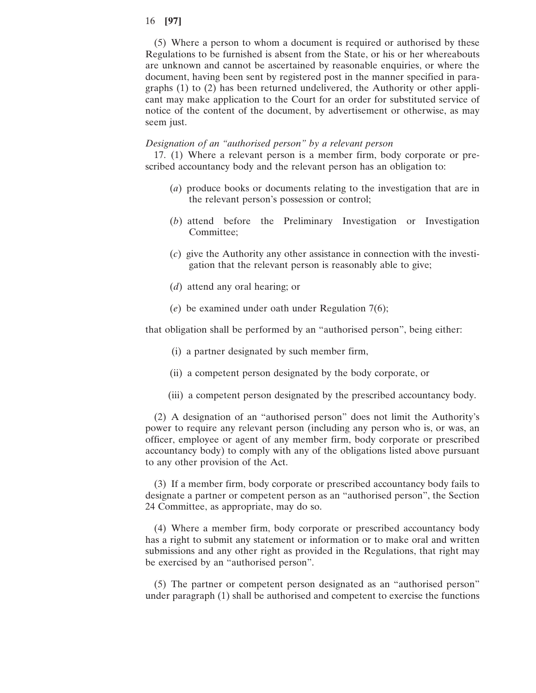(5) Where a person to whom a document is required or authorised by these Regulations to be furnished is absent from the State, or his or her whereabouts are unknown and cannot be ascertained by reasonable enquiries, or where the document, having been sent by registered post in the manner specified in paragraphs (1) to (2) has been returned undelivered, the Authority or other applicant may make application to the Court for an order for substituted service of notice of the content of the document, by advertisement or otherwise, as may seem just.

### *Designation of an "authorised person" by a relevant person*

17. (1) Where a relevant person is a member firm, body corporate or prescribed accountancy body and the relevant person has an obligation to:

- (*a*) produce books or documents relating to the investigation that are in the relevant person's possession or control;
- (*b*) attend before the Preliminary Investigation or Investigation Committee;
- (*c*) give the Authority any other assistance in connection with the investigation that the relevant person is reasonably able to give;
- (*d*) attend any oral hearing; or
- (*e*) be examined under oath under Regulation 7(6);

that obligation shall be performed by an "authorised person", being either:

- (i) a partner designated by such member firm,
- (ii) a competent person designated by the body corporate, or
- (iii) a competent person designated by the prescribed accountancy body.

(2) A designation of an "authorised person" does not limit the Authority's power to require any relevant person (including any person who is, or was, an officer, employee or agent of any member firm, body corporate or prescribed accountancy body) to comply with any of the obligations listed above pursuant to any other provision of the Act.

(3) If a member firm, body corporate or prescribed accountancy body fails to designate a partner or competent person as an "authorised person", the Section 24 Committee, as appropriate, may do so.

(4) Where a member firm, body corporate or prescribed accountancy body has a right to submit any statement or information or to make oral and written submissions and any other right as provided in the Regulations, that right may be exercised by an "authorised person".

(5) The partner or competent person designated as an "authorised person" under paragraph (1) shall be authorised and competent to exercise the functions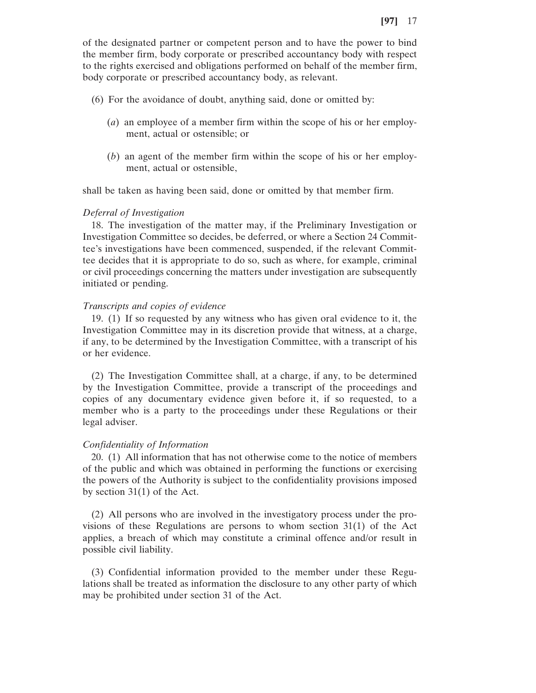of the designated partner or competent person and to have the power to bind the member firm, body corporate or prescribed accountancy body with respect to the rights exercised and obligations performed on behalf of the member firm, body corporate or prescribed accountancy body, as relevant.

- (6) For the avoidance of doubt, anything said, done or omitted by:
	- (*a*) an employee of a member firm within the scope of his or her employment, actual or ostensible; or
	- (*b*) an agent of the member firm within the scope of his or her employment, actual or ostensible,

shall be taken as having been said, done or omitted by that member firm.

## *Deferral of Investigation*

18. The investigation of the matter may, if the Preliminary Investigation or Investigation Committee so decides, be deferred, or where a Section 24 Committee's investigations have been commenced, suspended, if the relevant Committee decides that it is appropriate to do so, such as where, for example, criminal or civil proceedings concerning the matters under investigation are subsequently initiated or pending.

### *Transcripts and copies of evidence*

19. (1) If so requested by any witness who has given oral evidence to it, the Investigation Committee may in its discretion provide that witness, at a charge, if any, to be determined by the Investigation Committee, with a transcript of his or her evidence.

(2) The Investigation Committee shall, at a charge, if any, to be determined by the Investigation Committee, provide a transcript of the proceedings and copies of any documentary evidence given before it, if so requested, to a member who is a party to the proceedings under these Regulations or their legal adviser.

### *Confidentiality of Information*

20. (1) All information that has not otherwise come to the notice of members of the public and which was obtained in performing the functions or exercising the powers of the Authority is subject to the confidentiality provisions imposed by section 31(1) of the Act.

(2) All persons who are involved in the investigatory process under the provisions of these Regulations are persons to whom section 31(1) of the Act applies, a breach of which may constitute a criminal offence and/or result in possible civil liability.

(3) Confidential information provided to the member under these Regulations shall be treated as information the disclosure to any other party of which may be prohibited under section 31 of the Act.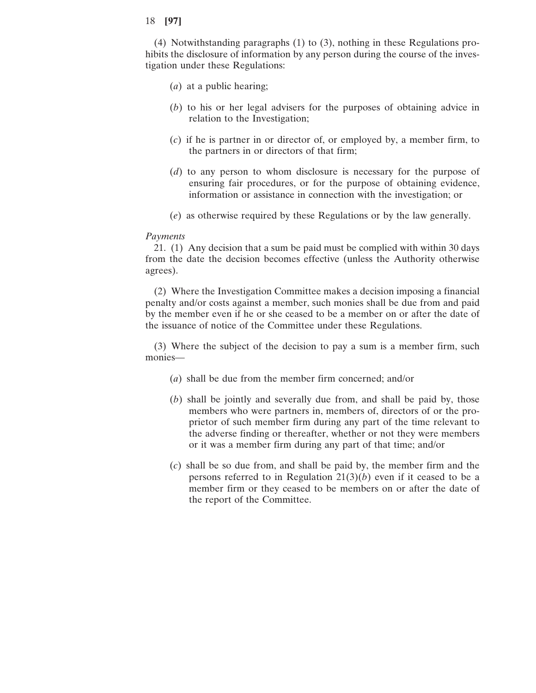(4) Notwithstanding paragraphs (1) to (3), nothing in these Regulations prohibits the disclosure of information by any person during the course of the investigation under these Regulations:

- (*a*) at a public hearing;
- (*b*) to his or her legal advisers for the purposes of obtaining advice in relation to the Investigation;
- (*c*) if he is partner in or director of, or employed by, a member firm, to the partners in or directors of that firm;
- (*d*) to any person to whom disclosure is necessary for the purpose of ensuring fair procedures, or for the purpose of obtaining evidence, information or assistance in connection with the investigation; or
- (*e*) as otherwise required by these Regulations or by the law generally.

## *Payments*

21. (1) Any decision that a sum be paid must be complied with within 30 days from the date the decision becomes effective (unless the Authority otherwise agrees).

(2) Where the Investigation Committee makes a decision imposing a financial penalty and/or costs against a member, such monies shall be due from and paid by the member even if he or she ceased to be a member on or after the date of the issuance of notice of the Committee under these Regulations.

(3) Where the subject of the decision to pay a sum is a member firm, such monies—

- (*a*) shall be due from the member firm concerned; and/or
- (*b*) shall be jointly and severally due from, and shall be paid by, those members who were partners in, members of, directors of or the proprietor of such member firm during any part of the time relevant to the adverse finding or thereafter, whether or not they were members or it was a member firm during any part of that time; and/or
- (*c*) shall be so due from, and shall be paid by, the member firm and the persons referred to in Regulation 21(3)(*b*) even if it ceased to be a member firm or they ceased to be members on or after the date of the report of the Committee.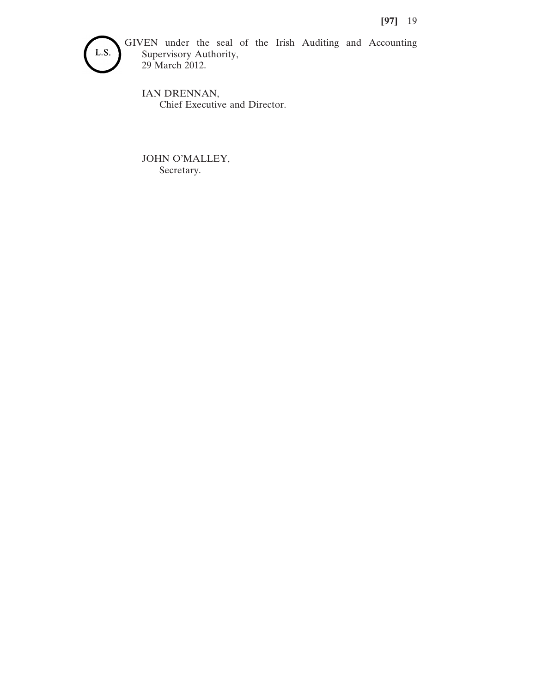

GIVEN under the seal of the Irish Auditing and Accounting Supervisory Authority, 29 March 2012.

IAN DRENNAN, Chief Executive and Director.

JOHN O'MALLEY, Secretary.